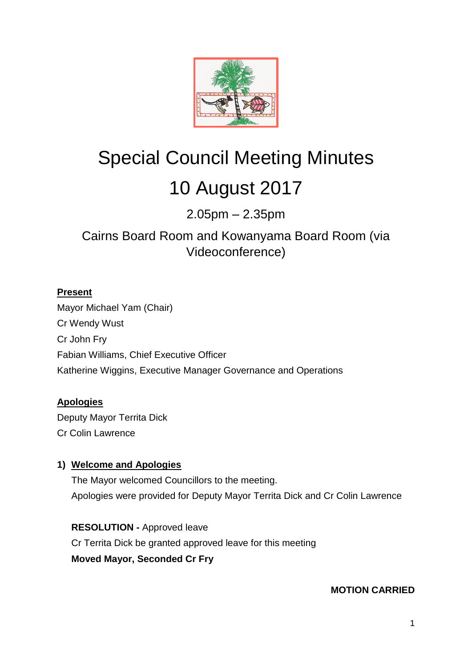

# Special Council Meeting Minutes 10 August 2017

2.05pm – 2.35pm

# Cairns Board Room and Kowanyama Board Room (via Videoconference)

# **Present**

Mayor Michael Yam (Chair) Cr Wendy Wust Cr John Fry Fabian Williams, Chief Executive Officer Katherine Wiggins, Executive Manager Governance and Operations

# **Apologies**

Deputy Mayor Territa Dick Cr Colin Lawrence

# **1) Welcome and Apologies**

The Mayor welcomed Councillors to the meeting. Apologies were provided for Deputy Mayor Territa Dick and Cr Colin Lawrence

**RESOLUTION -** Approved leave Cr Territa Dick be granted approved leave for this meeting **Moved Mayor, Seconded Cr Fry**

**MOTION CARRIED**